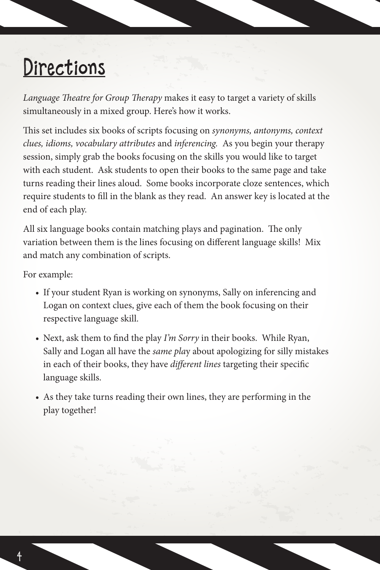## Directions

*Language Theatre for Group Therapy* makes it easy to target a variety of skills simultaneously in a mixed group. Here's how it works.

This set includes six books of scripts focusing on *synonyms, antonyms, context clues, idioms, vocabulary attributes* and *inferencing.* As you begin your therapy session, simply grab the books focusing on the skills you would like to target with each student. Ask students to open their books to the same page and take turns reading their lines aloud. Some books incorporate cloze sentences, which require students to fill in the blank as they read. An answer key is located at the end of each play.

All six language books contain matching plays and pagination. The only variation between them is the lines focusing on different language skills! Mix and match any combination of scripts.

For example:

- If your student Ryan is working on synonyms, Sally on inferencing and Logan on context clues, give each of them the book focusing on their respective language skill.
- Next, ask them to find the play *I'm Sorry* in their books. While Ryan, Sally and Logan all have the *same pla*y about apologizing for silly mistakes in each of their books, they have *different lines* targeting their specific language skills.
- As they take turns reading their own lines, they are performing in the play together!